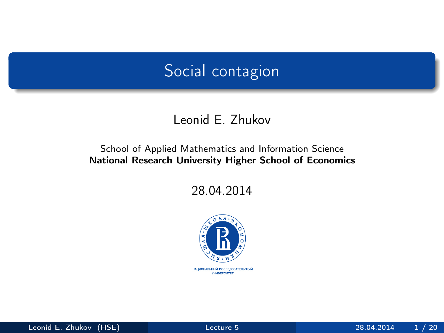### <span id="page-0-0"></span>Social contagion

#### Leonid E. Zhukov

#### School of Applied Mathematics and Information Science National Research University Higher School of Economics

28.04.2014

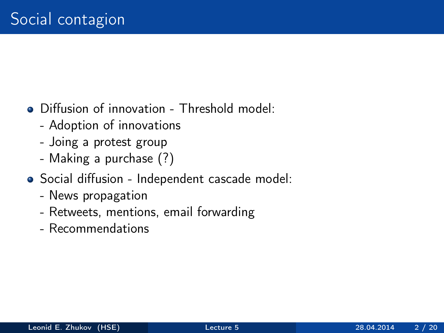### • Diffusion of innovation - Threshold model:

- Adoption of innovations
- Joing a protest group
- Making a purchase (?)
- Social diffusion Independent cascade model:
	- News propagation
	- Retweets, mentions, email forwarding
	- Recommendations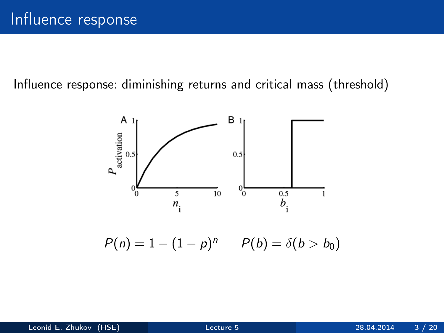Influence response: diminishing returns and critical mass (threshold)



 $P(n) = 1 - (1 - p)^n$   $P(b) = \delta(b > b_0)$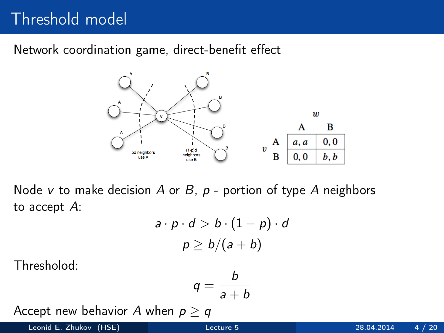# Threshold model

Network coordination game, direct-benefit effect



Node v to make decision A or B,  $p$  - portion of type A neighbors to accept A:

$$
a \cdot p \cdot d > b \cdot (1 - p) \cdot d
$$

$$
p \ge b/(a + b)
$$

Thresholod:

$$
q=\frac{b}{a+b}
$$

 $\overline{a}$ 

Accept new behavior A when  $p > q$ 

Leonid E. Zhukov (HSE) [Lecture 5](#page-0-0) 28.04.2014 4 / 20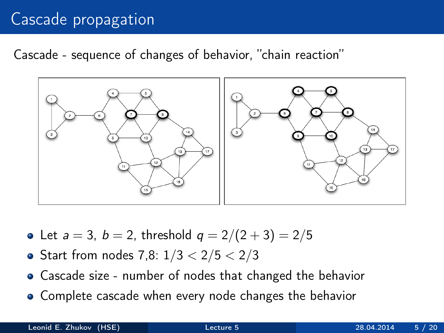# Cascade propagation

Cascade - sequence of changes of behavior, "chain reaction"



- Let  $a = 3$ ,  $b = 2$ , threshold  $q = 2/(2 + 3) = 2/5$
- Start from nodes 7,8:  $1/3 < 2/5 < 2/3$
- Cascade size number of nodes that changed the behavior
- Complete cascade when every node changes the behavior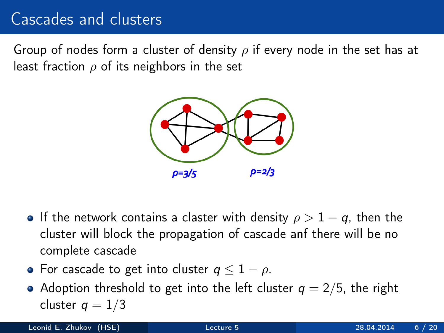### Cascades and clusters

Group of nodes form a cluster of density  $\rho$  if every node in the set has at least fraction  $\rho$  of its neighbors in the set



- If the network contains a claster with density  $\rho > 1 q$ , then the cluster will block the propagation of cascade anf there will be no complete cascade
- For cascade to get into cluster  $q \leq 1 \rho$ .
- Adoption threshold to get into the left cluster  $q = 2/5$ , the right cluster  $q = 1/3$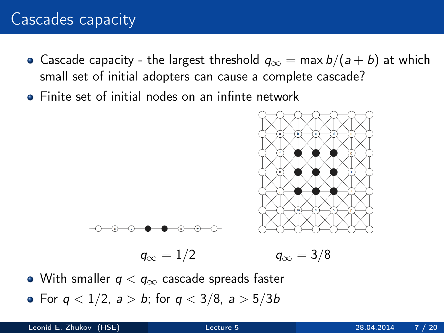## Cascades capacity

- Cascade capacity the largest threshold  $q_{\infty} = \max b/(a + b)$  at which small set of initial adopters can cause a complete cascade?
- Finite set of initial nodes on an infinte network





 $q_{\infty} = 1/2$   $q_{\infty} = 3/8$ 

- With smaller  $q < q_{\infty}$  cascade spreads faster
- For  $q < 1/2$ ,  $a > b$ ; for  $q < 3/8$ ,  $a > 5/3b$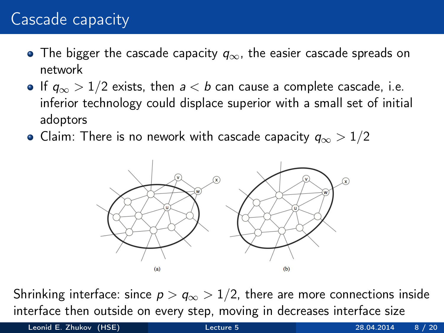# Cascade capacity

- The bigger the cascade capacity  $q_{\infty}$ , the easier cascade spreads on network
- $\bullet$  If  $q_{\infty}$  > 1/2 exists, then  $a < b$  can cause a complete cascade, i.e. inferior technology could displace superior with a small set of initial adoptors
- Claim: There is no nework with cascade capacity  $q_{\infty} > 1/2$



Shrinking interface: since  $p > q_{\infty} > 1/2$ , there are more connections inside interface then outside on every step, moving in decreases interface size

Leonid E. Zhukov (HSE) [Lecture 5](#page-0-0) 28.04.2014 8 / 20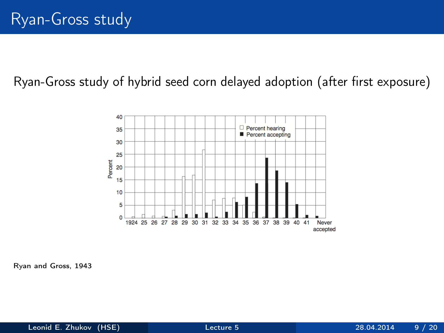#### Ryan-Gross study of hybrid seed corn delayed adoption (after first exposure)



Ryan and Gross, 1943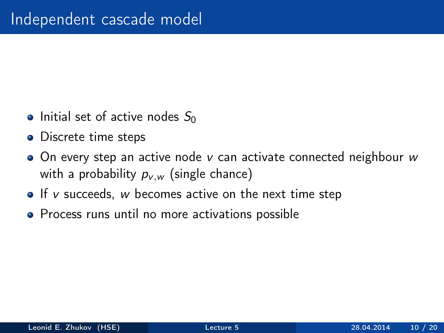- Initial set of active nodes  $S_0$
- Discrete time steps
- $\bullet$  On every step an active node v can activate connected neighbour w with a probability  $p_{v,w}$  (single chance)
- $\bullet$  If v succeeds, w becomes active on the next time step
- Process runs until no more activations possible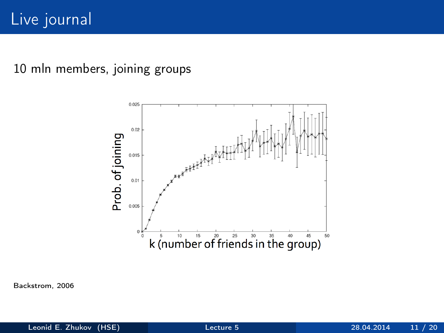#### 10 mln members, joining groups



Backstrom, 2006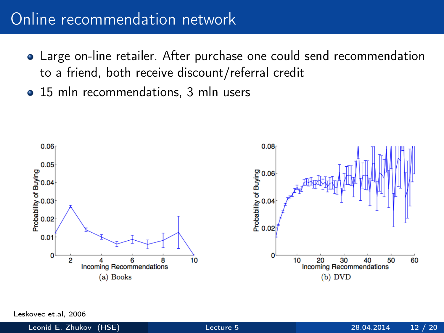### Online recommendation network

- Large on-line retailer. After purchase one could send recommendation to a friend, both receive discount/referral credit
- 15 mln recommendations, 3 mln users



Leskovec et al, 2006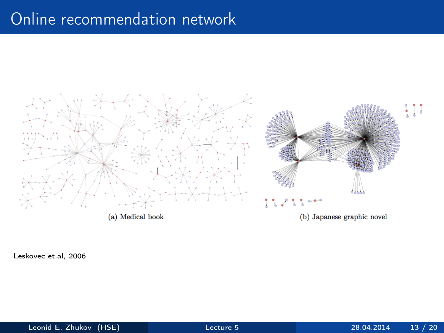### Online recommendation network



Leskovec et.al, 2006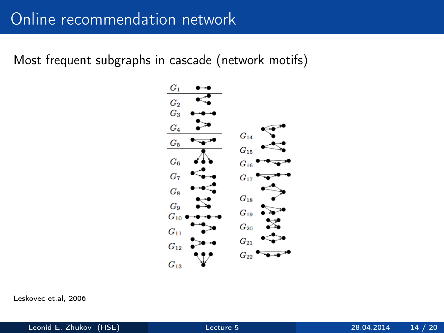### Online recommendation network

Most frequent subgraphs in cascade (network motifs)



Leskovec et.al, 2006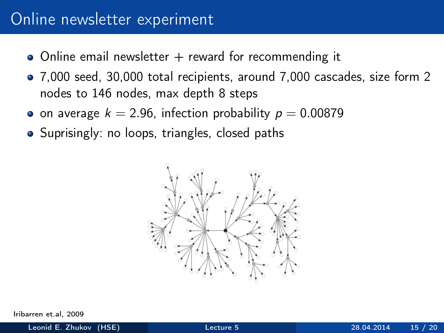### Online newsletter experiment

- $\bullet$  Online email newsletter  $+$  reward for recommending it
- 7,000 seed, 30,000 total recipients, around 7,000 cascades, size form 2 nodes to 146 nodes, max depth 8 steps
- on average  $k = 2.96$ , infection probability  $p = 0.00879$
- Suprisingly: no loops, triangles, closed paths



Iribarren et al, 2009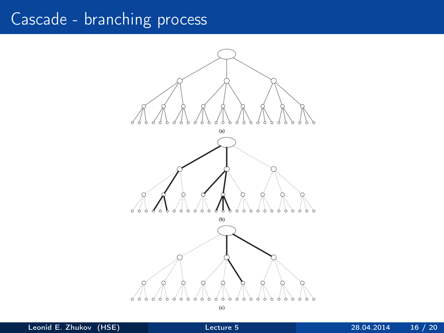# Cascade - branching process



Leonid E. Zhukov (HSE) [Lecture 5](#page-0-0) 28.04.2014 16 / 20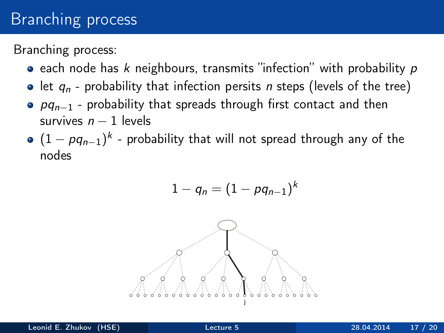## **Branching process**

Branching process:

- **e** each node has k neighbours, transmits "infection" with probability  $p$
- let  $q_n$  probability that infection persits n steps (levels of the tree)
- $pq_{n-1}$  probability that spreads through first contact and then survives  $n - 1$  levels
- $(1-\rho q_{n-1})^k$  probability that will not spread through any of the nodes

$$
1-q_n=(1-pq_{n-1})^k
$$

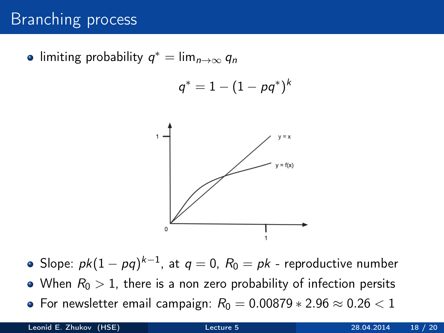## Branching process

limiting probability  $q^* = \lim_{n \to \infty} q_n$ 

$$
q^*=1-(1-\rho q^*)^k
$$



- Slope:  $\mathit{pk}(1-\mathit{pq})^{k-1}$ , at  $\mathit{q}=0$ ,  $\mathit{R}_{0}=\mathit{pk}$  reproductive number
- When  $R_0 > 1$ , there is a non zero probability of infection persits
- For newsletter email campaign:  $R_0 = 0.00879 * 2.96 \approx 0.26 < 1$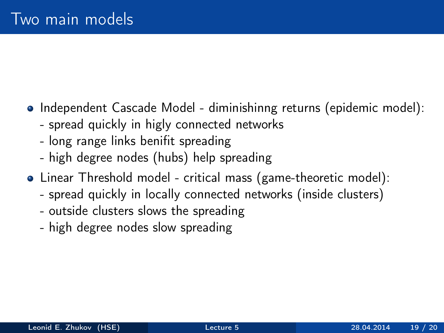- Independent Cascade Model diminishinng returns (epidemic model):
	- spread quickly in higly connected networks
	- long range links benifit spreading
	- high degree nodes (hubs) help spreading
- Linear Threshold model critical mass (game-theoretic model):
	- spread quickly in locally connected networks (inside clusters)
	- outside clusters slows the spreading
	- high degree nodes slow spreading